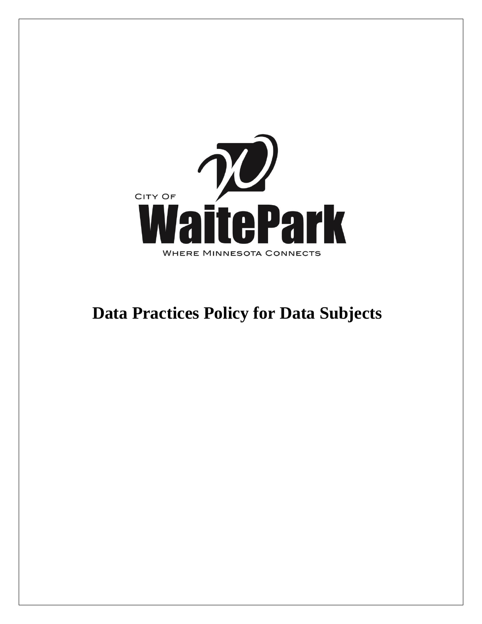

# **Data Practices Policy for Data Subjects**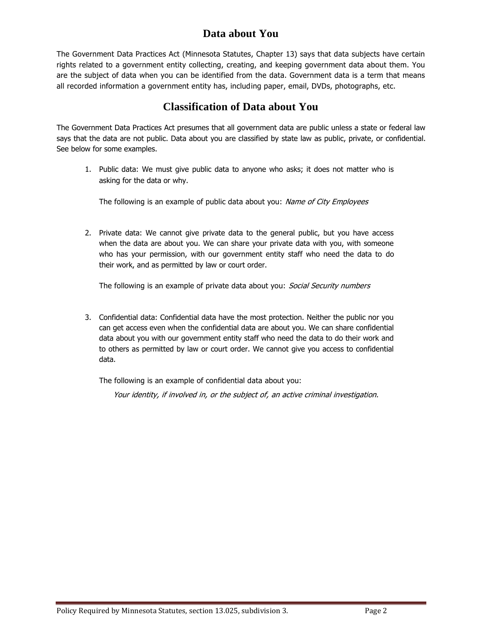# **Data about You**

The Government Data Practices Act (Minnesota Statutes, Chapter 13) says that data subjects have certain rights related to a government entity collecting, creating, and keeping government data about them. You are the subject of data when you can be identified from the data. Government data is a term that means all recorded information a government entity has, including paper, email, DVDs, photographs, etc.

## **Classification of Data about You**

The Government Data Practices Act presumes that all government data are public unless a state or federal law says that the data are not public. Data about you are classified by state law as public, private, or confidential. See below for some examples.

1. Public data: We must give public data to anyone who asks; it does not matter who is asking for the data or why.

The following is an example of public data about you: Name of City Employees

2. Private data: We cannot give private data to the general public, but you have access when the data are about you. We can share your private data with you, with someone who has your permission, with our government entity staff who need the data to do their work, and as permitted by law or court order.

The following is an example of private data about you: Social Security numbers

3. Confidential data: Confidential data have the most protection. Neither the public nor you can get access even when the confidential data are about you. We can share confidential data about you with our government entity staff who need the data to do their work and to others as permitted by law or court order. We cannot give you access to confidential data.

The following is an example of confidential data about you:

Your identity, if involved in, or the subject of, an active criminal investigation.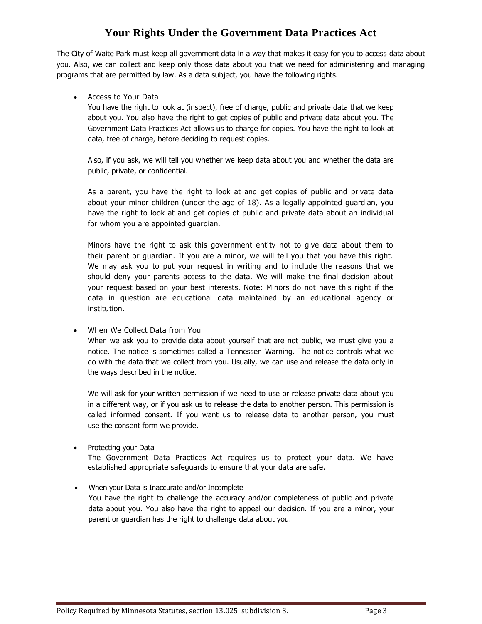# **Your Rights Under the Government Data Practices Act**

The City of Waite Park must keep all government data in a way that makes it easy for you to access data about you. Also, we can collect and keep only those data about you that we need for administering and managing programs that are permitted by law. As a data subject, you have the following rights.

### Access to Your Data

You have the right to look at (inspect), free of charge, public and private data that we keep about you. You also have the right to get copies of public and private data about you. The Government Data Practices Act allows us to charge for copies. You have the right to look at data, free of charge, before deciding to request copies.

Also, if you ask, we will tell you whether we keep data about you and whether the data are public, private, or confidential.

As a parent, you have the right to look at and get copies of public and private data about your minor children (under the age of 18). As a legally appointed guardian, you have the right to look at and get copies of public and private data about an individual for whom you are appointed guardian.

Minors have the right to ask this government entity not to give data about them to their parent or guardian. If you are a minor, we will tell you that you have this right. We may ask you to put your request in writing and to include the reasons that we should deny your parents access to the data. We will make the final decision about your request based on your best interests. Note: Minors do not have this right if the data in question are educational data maintained by an educational agency or institution.

When We Collect Data from You

When we ask you to provide data about yourself that are not public, we must give you a notice. The notice is sometimes called a Tennessen Warning. The notice controls what we do with the data that we collect from you. Usually, we can use and release the data only in the ways described in the notice.

We will ask for your written permission if we need to use or release private data about you in a different way, or if you ask us to release the data to another person. This permission is called informed consent. If you want us to release data to another person, you must use the consent form we provide.

• Protecting your Data

The Government Data Practices Act requires us to protect your data. We have established appropriate safeguards to ensure that your data are safe.

• When your Data is Inaccurate and/or Incomplete You have the right to challenge the accuracy and/or completeness of public and private data about you. You also have the right to appeal our decision. If you are a minor, your parent or guardian has the right to challenge data about you.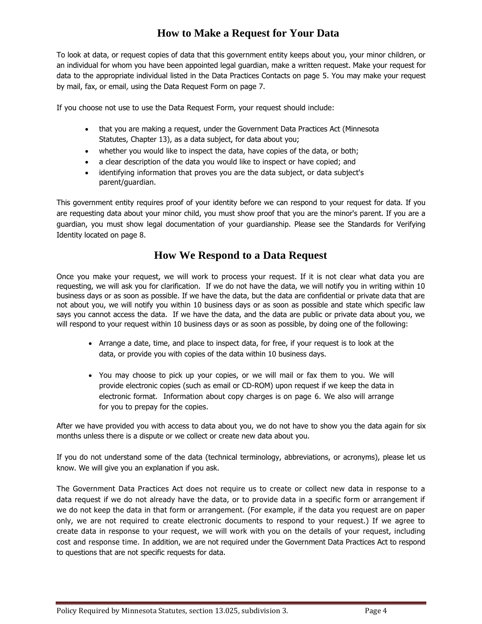# **How to Make a Request for Your Data**

To look at data, or request copies of data that this government entity keeps about you, your minor children, or an individual for whom you have been appointed legal guardian, make a written request. Make your request for data to the appropriate individual listed in the Data Practices Contacts on page 5. You may make your request by mail, fax, or email, using the Data Request Form on page 7.

If you choose not use to use the Data Request Form, your request should include:

- that you are making a request, under the Government Data Practices Act (Minnesota Statutes, Chapter 13), as a data subject, for data about you;
- whether you would like to inspect the data, have copies of the data, or both;
- a clear description of the data you would like to inspect or have copied; and
- identifying information that proves you are the data subject, or data subject's parent/guardian.

This government entity requires proof of your identity before we can respond to your request for data. If you are requesting data about your minor child, you must show proof that you are the minor's parent. If you are a guardian, you must show legal documentation of your guardianship. Please see the Standards for Verifying Identity located on page 8.

# **How We Respond to a Data Request**

Once you make your request, we will work to process your request. If it is not clear what data you are requesting, we will ask you for clarification. If we do not have the data, we will notify you in writing within 10 business days or as soon as possible. If we have the data, but the data are confidential or private data that are not about you, we will notify you within 10 business days or as soon as possible and state which specific law says you cannot access the data. If we have the data, and the data are public or private data about you, we will respond to your request within 10 business days or as soon as possible, by doing one of the following:

- Arrange a date, time, and place to inspect data, for free, if your request is to look at the data, or provide you with copies of the data within 10 business days.
- You may choose to pick up your copies, or we will mail or fax them to you. We will provide electronic copies (such as email or CD-ROM) upon request if we keep the data in electronic format. Information about copy charges is on page 6. We also will arrange for you to prepay for the copies.

After we have provided you with access to data about you, we do not have to show you the data again for six months unless there is a dispute or we collect or create new data about you.

If you do not understand some of the data (technical terminology, abbreviations, or acronyms), please let us know. We will give you an explanation if you ask.

The Government Data Practices Act does not require us to create or collect new data in response to a data request if we do not already have the data, or to provide data in a specific form or arrangement if we do not keep the data in that form or arrangement. (For example, if the data you request are on paper only, we are not required to create electronic documents to respond to your request.) If we agree to create data in response to your request, we will work with you on the details of your request, including cost and response time. In addition, we are not required under the Government Data Practices Act to respond to questions that are not specific requests for data.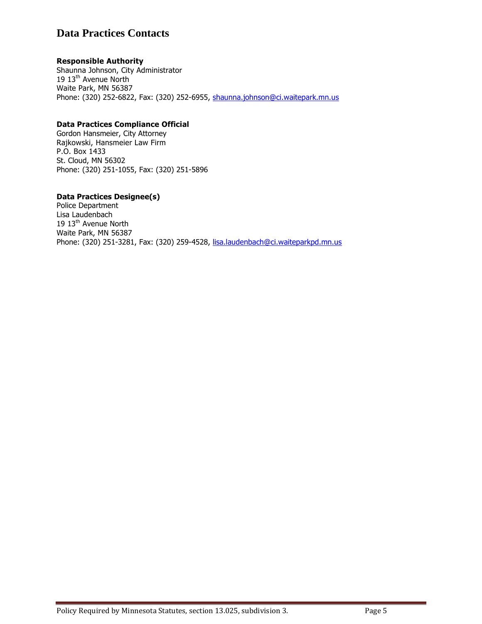## **Data Practices Contacts**

### **Responsible Authority**

Shaunna Johnson, City Administrator 19 13<sup>th</sup> Avenue North Waite Park, MN 56387 Phone: (320) 252-6822, Fax: (320) 252-6955, [shaunna.johnson@ci.waitepark.mn.us](mailto:shaunna.johnson@ci.waitepark.mn.us)

## **Data Practices Compliance Official**

Gordon Hansmeier, City Attorney Rajkowski, Hansmeier Law Firm P.O. Box 1433 St. Cloud, MN 56302 Phone: (320) 251-1055, Fax: (320) 251-5896

## **Data Practices Designee(s)**

Police Department Lisa Laudenbach 19 13<sup>th</sup> Avenue North Waite Park, MN 56387 Phone: (320) 251-3281, Fax: (320) 259-4528, [lisa.laudenbach@ci.waiteparkpd.mn.us](mailto:lisa.laudenbach@ci.waiteparkpd.mn.us)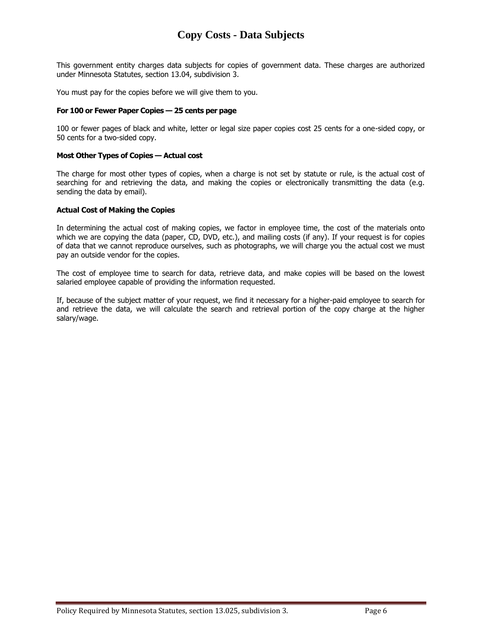## **Copy Costs - Data Subjects**

This government entity charges data subjects for copies of government data. These charges are authorized under Minnesota Statutes, section 13.04, subdivision 3.

You must pay for the copies before we will give them to you.

#### **For 100 or Fewer Paper Copies — 25 cents per page**

100 or fewer pages of black and white, letter or legal size paper copies cost 25 cents for a one-sided copy, or 50 cents for a two-sided copy.

#### **Most Other Types of Copies — Actual cost**

The charge for most other types of copies, when a charge is not set by statute or rule, is the actual cost of searching for and retrieving the data, and making the copies or electronically transmitting the data (e.g. sending the data by email).

#### **Actual Cost of Making the Copies**

In determining the actual cost of making copies, we factor in employee time, the cost of the materials onto which we are copying the data (paper, CD, DVD, etc.), and mailing costs (if any). If your request is for copies of data that we cannot reproduce ourselves, such as photographs, we will charge you the actual cost we must pay an outside vendor for the copies.

The cost of employee time to search for data, retrieve data, and make copies will be based on the lowest salaried employee capable of providing the information requested.

If, because of the subject matter of your request, we find it necessary for a higher-paid employee to search for and retrieve the data, we will calculate the search and retrieval portion of the copy charge at the higher salary/wage.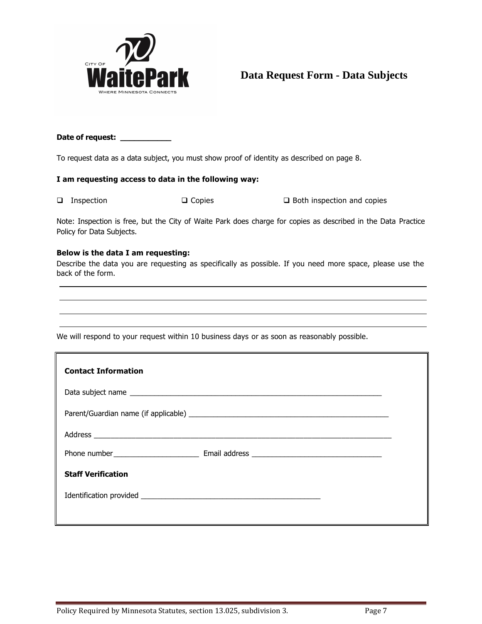

## **Data Request Form - Data Subjects**

## **Date of request: \_\_\_\_\_\_\_\_\_\_\_**

To request data as a data subject, you must show proof of identity as described on page 8.

#### **I am requesting access to data in the following way:**

| $\Box$ Inspection | $\Box$ Copies | $\Box$ Both inspection and copies |
|-------------------|---------------|-----------------------------------|
|                   |               |                                   |

Note: Inspection is free, but the City of Waite Park does charge for copies as described in the Data Practice Policy for Data Subjects.

#### **Below is the data I am requesting:**

Describe the data you are requesting as specifically as possible. If you need more space, please use the back of the form.

We will respond to your request within 10 business days or as soon as reasonably possible.

| <b>Contact Information</b> |  |  |  |  |
|----------------------------|--|--|--|--|
|                            |  |  |  |  |
|                            |  |  |  |  |
|                            |  |  |  |  |
|                            |  |  |  |  |
| <b>Staff Verification</b>  |  |  |  |  |
|                            |  |  |  |  |
|                            |  |  |  |  |